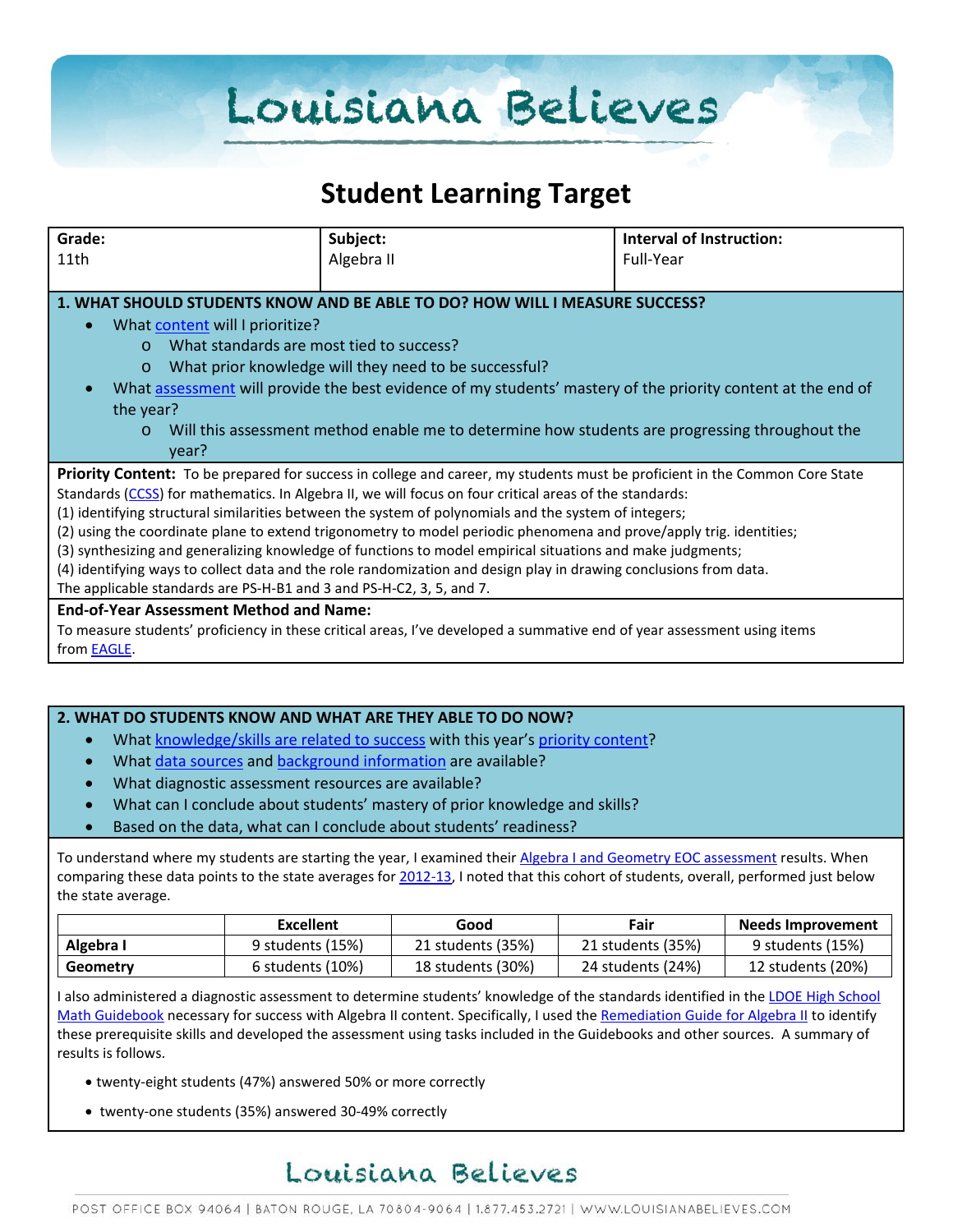# Louisiana Believes

# **Student Learning Target**

| Grade:                                                                                                                  | Subject:                                                                                                                    | Interval of Instruction: |  |
|-------------------------------------------------------------------------------------------------------------------------|-----------------------------------------------------------------------------------------------------------------------------|--------------------------|--|
| 11th                                                                                                                    | Algebra II                                                                                                                  | Full-Year                |  |
|                                                                                                                         |                                                                                                                             |                          |  |
|                                                                                                                         | 1. WHAT SHOULD STUDENTS KNOW AND BE ABLE TO DO? HOW WILL I MEASURE SUCCESS?                                                 |                          |  |
| What content will I prioritize?<br>$\bullet$                                                                            |                                                                                                                             |                          |  |
| $\Omega$                                                                                                                | What standards are most tied to success?                                                                                    |                          |  |
| What prior knowledge will they need to be successful?<br>$\circ$                                                        |                                                                                                                             |                          |  |
| $\bullet$                                                                                                               | What assessment will provide the best evidence of my students' mastery of the priority content at the end of                |                          |  |
| the year?                                                                                                               |                                                                                                                             |                          |  |
| $\Omega$                                                                                                                | Will this assessment method enable me to determine how students are progressing throughout the                              |                          |  |
| year?                                                                                                                   |                                                                                                                             |                          |  |
|                                                                                                                         | Priority Content: To be prepared for success in college and career, my students must be proficient in the Common Core State |                          |  |
|                                                                                                                         | Standards (CCSS) for mathematics. In Algebra II, we will focus on four critical areas of the standards:                     |                          |  |
| (1) identifying structural similarities between the system of polynomials and the system of integers;                   |                                                                                                                             |                          |  |
|                                                                                                                         | (2) using the coordinate plane to extend trigonometry to model periodic phenomena and prove/apply trig. identities;         |                          |  |
|                                                                                                                         | (3) synthesizing and generalizing knowledge of functions to model empirical situations and make judgments;                  |                          |  |
|                                                                                                                         | (4) identifying ways to collect data and the role randomization and design play in drawing conclusions from data.           |                          |  |
| The applicable standards are PS-H-B1 and 3 and PS-H-C2, 3, 5, and 7.                                                    |                                                                                                                             |                          |  |
| <b>End-of-Year Assessment Method and Name:</b>                                                                          |                                                                                                                             |                          |  |
| To measure students' proficiency in these critical areas, I've developed a summative end of year assessment using items |                                                                                                                             |                          |  |
| from <b>EAGLE</b> .                                                                                                     |                                                                                                                             |                          |  |

#### **2. WHAT DO STUDENTS KNOW AND WHAT ARE THEY ABLE TO DO NOW?**

- Wha[t knowledge/skills are related to success](http://www.louisianabelieves.com/academics/2014-2015-curricular-package) with this year's [priority content?](http://www.louisianabelieves.com/resources/classroom-support-toolbox/teacher-support-toolbox/standards)
- Wha[t data sources](http://www.louisianabelieves.com/resources/classroom-support-toolbox/teacher-support-toolbox/student-achievement-results) and [background information](http://www.louisianabelieves.com/resources/library/data-center) are available?
- What diagnostic assessment resources are available?
- What can I conclude about students' mastery of prior knowledge and skills?
- Based on the data, what can I conclude about students' readiness?

To understand where my students are starting the year, I examined their [Algebra I and Geometry EOC assessment](http://www.louisianabelieves.com/resources/library/assessment) results. When comparing these data points to the state averages for [2012-13,](http://www.louisianabelieves.com/resources/library/test-results) I noted that this cohort of students, overall, performed just below the state average.

|           | Excellent        | Good              | Fair              | <b>Needs Improvement</b> |
|-----------|------------------|-------------------|-------------------|--------------------------|
| Algebra I | 9 students (15%) | 21 students (35%) | 21 students (35%) | 9 students (15%)         |
| Geometry  | 6 students (10%) | 18 students (30%) | 24 students (24%) | 12 students (20%)        |

I also administered a diagnostic assessment to determine students' knowledge of the standards identified in the [LDOE High School](http://www.louisianabelieves.com/docs/default-source/teacher-toolbox-resources/2014-math-high-school-curriculum-guidebook.pdf?sfvrsn=8)  [Math Guidebook](http://www.louisianabelieves.com/docs/default-source/teacher-toolbox-resources/2014-math-high-school-curriculum-guidebook.pdf?sfvrsn=8) necessary for success with Algebra II content. Specifically, I used the [Remediation Guide for Algebra II](http://www.louisianabelieves.com/docs/default-source/teacher-toolbox-resources/algebra-ii---math-remediation-guide.pdf?sfvrsn=5) to identify these prerequisite skills and developed the assessment using tasks included in the Guidebooks and other sources. A summary of results is follows.

- twenty-eight students (47%) answered 50% or more correctly
- twenty-one students (35%) answered 30-49% correctly

# Louisiana Believes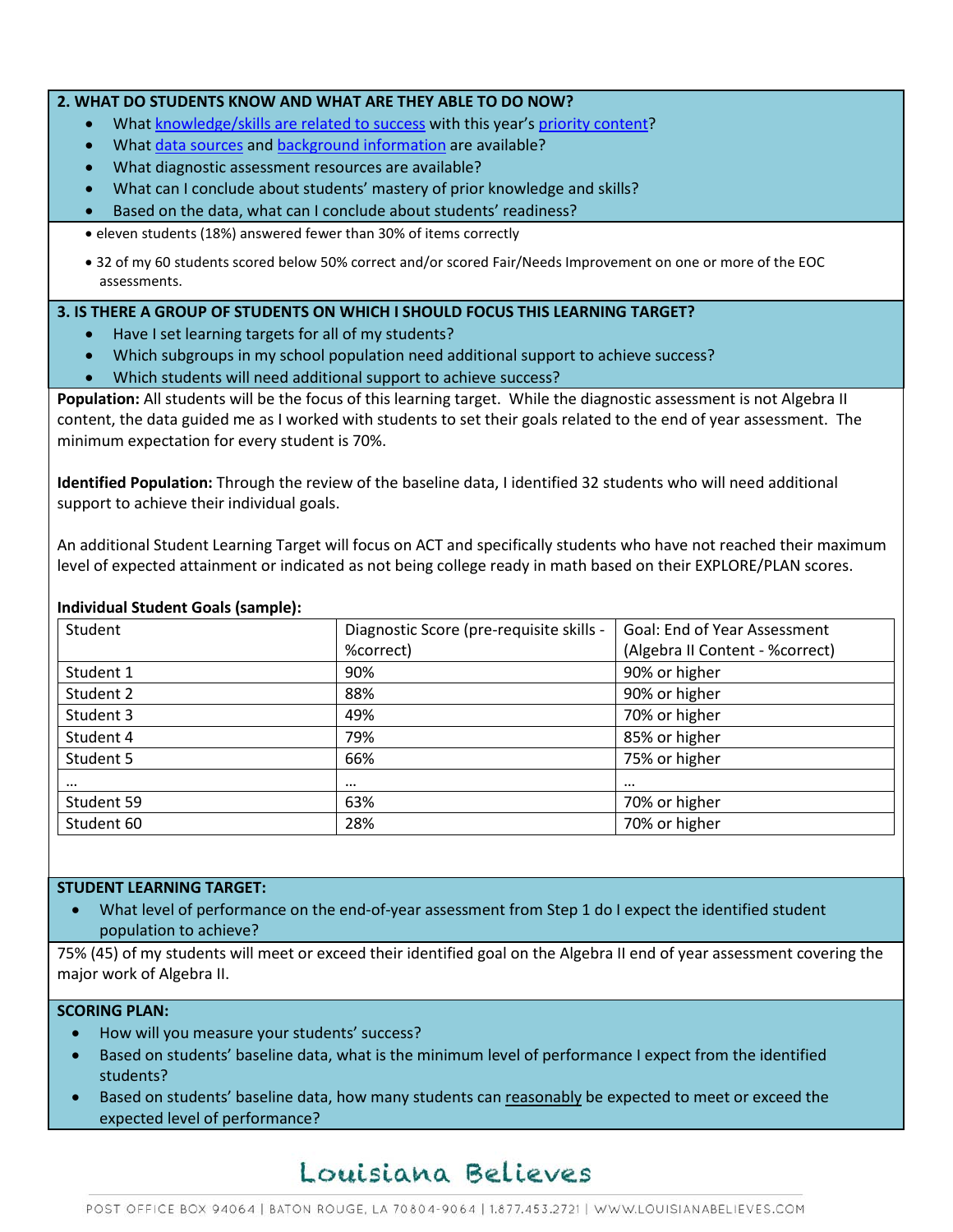#### **2. WHAT DO STUDENTS KNOW AND WHAT ARE THEY ABLE TO DO NOW?**

- Wha[t knowledge/skills are related to success](http://www.louisianabelieves.com/academics/2014-2015-curricular-package) with this year's [priority content?](http://www.louisianabelieves.com/resources/classroom-support-toolbox/teacher-support-toolbox/standards)
- Wha[t data sources](http://www.louisianabelieves.com/resources/classroom-support-toolbox/teacher-support-toolbox/student-achievement-results) and [background information](http://www.louisianabelieves.com/resources/library/data-center) are available?
- What diagnostic assessment resources are available?
- What can I conclude about students' mastery of prior knowledge and skills?
- Based on the data, what can I conclude about students' readiness?
- eleven students (18%) answered fewer than 30% of items correctly
- 32 of my 60 students scored below 50% correct and/or scored Fair/Needs Improvement on one or more of the EOC assessments.

## **3. IS THERE A GROUP OF STUDENTS ON WHICH I SHOULD FOCUS THIS LEARNING TARGET?**

- Have I set learning targets for all of my students?
- Which subgroups in my school population need additional support to achieve success?
- Which students will need additional support to achieve success?

**Population:** All students will be the focus of this learning target. While the diagnostic assessment is not Algebra II content, the data guided me as I worked with students to set their goals related to the end of year assessment. The minimum expectation for every student is 70%.

**Identified Population:** Through the review of the baseline data, I identified 32 students who will need additional support to achieve their individual goals.

An additional Student Learning Target will focus on ACT and specifically students who have not reached their maximum level of expected attainment or indicated as not being college ready in math based on their EXPLORE/PLAN scores.

### **Individual Student Goals (sample):**

| Student    | Diagnostic Score (pre-requisite skills - | <b>Goal: End of Year Assessment</b> |
|------------|------------------------------------------|-------------------------------------|
|            | %correct)                                | (Algebra II Content - % correct)    |
| Student 1  | 90%                                      | 90% or higher                       |
| Student 2  | 88%                                      | 90% or higher                       |
| Student 3  | 49%                                      | 70% or higher                       |
| Student 4  | 79%                                      | 85% or higher                       |
| Student 5  | 66%                                      | 75% or higher                       |
| $\cdots$   | $\cdots$                                 | $\cdots$                            |
| Student 59 | 63%                                      | 70% or higher                       |
| Student 60 | 28%                                      | 70% or higher                       |

## **STUDENT LEARNING TARGET:**

• What level of performance on the end-of-year assessment from Step 1 do I expect the identified student population to achieve?

75% (45) of my students will meet or exceed their identified goal on the Algebra II end of year assessment covering the major work of Algebra II.

## **SCORING PLAN:**

- How will you measure your students' success?
- Based on students' baseline data, what is the minimum level of performance I expect from the identified students?
- Based on students' baseline data, how many students can reasonably be expected to meet or exceed the expected level of performance?

# Louisiana Believes